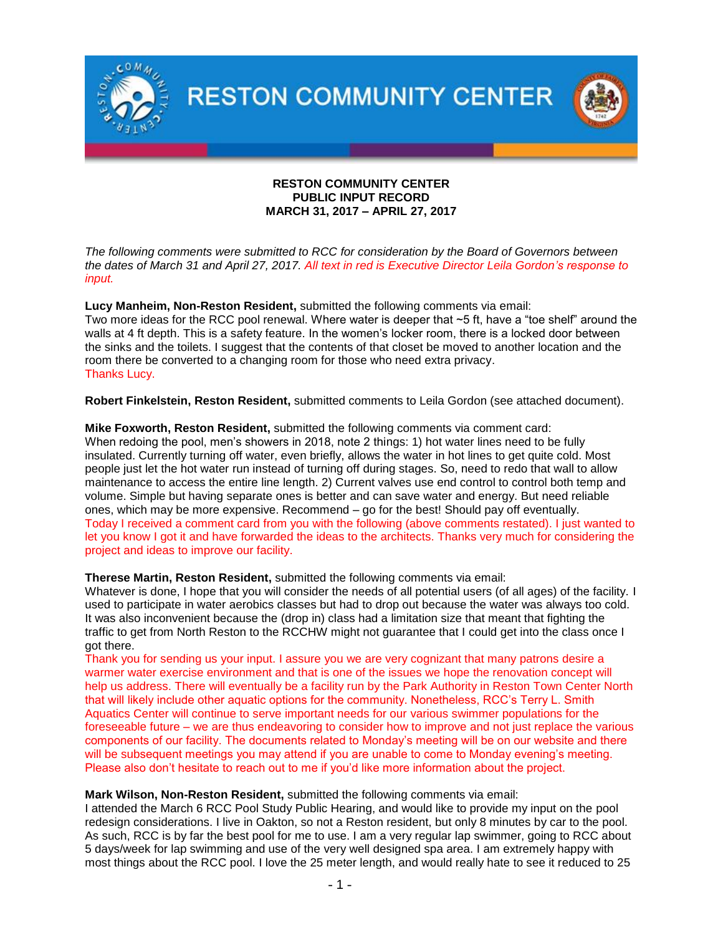

### **RESTON COMMUNITY CENTER PUBLIC INPUT RECORD MARCH 31, 2017 – APRIL 27, 2017**

*The following comments were submitted to RCC for consideration by the Board of Governors between the dates of March 31 and April 27, 2017. All text in red is Executive Director Leila Gordon's response to input.* 

**Lucy Manheim, Non-Reston Resident,** submitted the following comments via email:

Two more ideas for the RCC pool renewal. Where water is deeper that ~5 ft, have a "toe shelf" around the walls at 4 ft depth. This is a safety feature. In the women's locker room, there is a locked door between the sinks and the toilets. I suggest that the contents of that closet be moved to another location and the room there be converted to a changing room for those who need extra privacy. Thanks Lucy.

**Robert Finkelstein, Reston Resident,** submitted comments to Leila Gordon (see attached document).

**Mike Foxworth, Reston Resident,** submitted the following comments via comment card: When redoing the pool, men's showers in 2018, note 2 things: 1) hot water lines need to be fully insulated. Currently turning off water, even briefly, allows the water in hot lines to get quite cold. Most people just let the hot water run instead of turning off during stages. So, need to redo that wall to allow maintenance to access the entire line length. 2) Current valves use end control to control both temp and volume. Simple but having separate ones is better and can save water and energy. But need reliable ones, which may be more expensive. Recommend – go for the best! Should pay off eventually. Today I received a comment card from you with the following (above comments restated). I just wanted to let you know I got it and have forwarded the ideas to the architects. Thanks very much for considering the project and ideas to improve our facility.

**Therese Martin, Reston Resident,** submitted the following comments via email:

Whatever is done, I hope that you will consider the needs of all potential users (of all ages) of the facility. I used to participate in water aerobics classes but had to drop out because the water was always too cold. It was also inconvenient because the (drop in) class had a limitation size that meant that fighting the traffic to get from North Reston to the RCCHW might not guarantee that I could get into the class once I got there.

Thank you for sending us your input. I assure you we are very cognizant that many patrons desire a warmer water exercise environment and that is one of the issues we hope the renovation concept will help us address. There will eventually be a facility run by the Park Authority in Reston Town Center North that will likely include other aquatic options for the community. Nonetheless, RCC's Terry L. Smith Aquatics Center will continue to serve important needs for our various swimmer populations for the foreseeable future – we are thus endeavoring to consider how to improve and not just replace the various components of our facility. The documents related to Monday's meeting will be on our website and there will be subsequent meetings you may attend if you are unable to come to Monday evening's meeting. Please also don't hesitate to reach out to me if you'd like more information about the project.

#### **Mark Wilson, Non-Reston Resident,** submitted the following comments via email:

I attended the March 6 RCC Pool Study Public Hearing, and would like to provide my input on the pool redesign considerations. I live in Oakton, so not a Reston resident, but only 8 minutes by car to the pool. As such, RCC is by far the best pool for me to use. I am a very regular lap swimmer, going to RCC about 5 days/week for lap swimming and use of the very well designed spa area. I am extremely happy with most things about the RCC pool. I love the 25 meter length, and would really hate to see it reduced to 25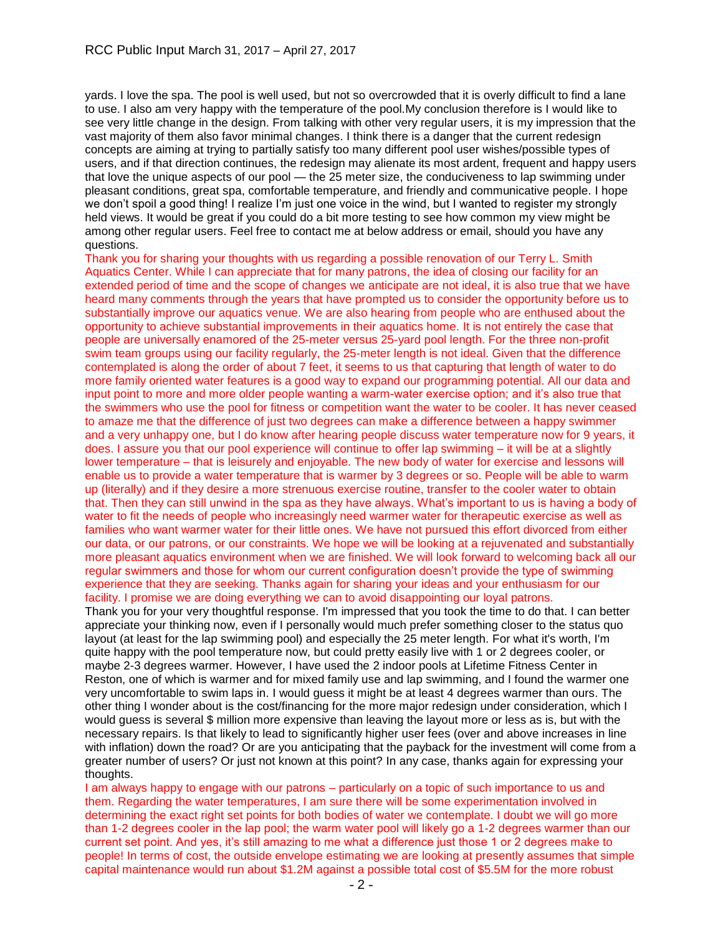yards. I love the spa. The pool is well used, but not so overcrowded that it is overly difficult to find a lane to use. I also am very happy with the temperature of the pool.My conclusion therefore is I would like to see very little change in the design. From talking with other very regular users, it is my impression that the vast majority of them also favor minimal changes. I think there is a danger that the current redesign concepts are aiming at trying to partially satisfy too many different pool user wishes/possible types of users, and if that direction continues, the redesign may alienate its most ardent, frequent and happy users that love the unique aspects of our pool — the 25 meter size, the conduciveness to lap swimming under pleasant conditions, great spa, comfortable temperature, and friendly and communicative people. I hope we don't spoil a good thing! I realize I'm just one voice in the wind, but I wanted to register my strongly held views. It would be great if you could do a bit more testing to see how common my view might be among other regular users. Feel free to contact me at below address or email, should you have any questions.

Thank you for sharing your thoughts with us regarding a possible renovation of our Terry L. Smith Aquatics Center. While I can appreciate that for many patrons, the idea of closing our facility for an extended period of time and the scope of changes we anticipate are not ideal, it is also true that we have heard many comments through the years that have prompted us to consider the opportunity before us to substantially improve our aquatics venue. We are also hearing from people who are enthused about the opportunity to achieve substantial improvements in their aquatics home. It is not entirely the case that people are universally enamored of the 25-meter versus 25-yard pool length. For the three non-profit swim team groups using our facility regularly, the 25-meter length is not ideal. Given that the difference contemplated is along the order of about 7 feet, it seems to us that capturing that length of water to do more family oriented water features is a good way to expand our programming potential. All our data and input point to more and more older people wanting a warm-water exercise option; and it's also true that the swimmers who use the pool for fitness or competition want the water to be cooler. It has never ceased to amaze me that the difference of just two degrees can make a difference between a happy swimmer and a very unhappy one, but I do know after hearing people discuss water temperature now for 9 years, it does. I assure you that our pool experience will continue to offer lap swimming – it will be at a slightly lower temperature – that is leisurely and enjoyable. The new body of water for exercise and lessons will enable us to provide a water temperature that is warmer by 3 degrees or so. People will be able to warm up (literally) and if they desire a more strenuous exercise routine, transfer to the cooler water to obtain that. Then they can still unwind in the spa as they have always. What's important to us is having a body of water to fit the needs of people who increasingly need warmer water for therapeutic exercise as well as families who want warmer water for their little ones. We have not pursued this effort divorced from either our data, or our patrons, or our constraints. We hope we will be looking at a rejuvenated and substantially more pleasant aquatics environment when we are finished. We will look forward to welcoming back all our regular swimmers and those for whom our current configuration doesn't provide the type of swimming experience that they are seeking. Thanks again for sharing your ideas and your enthusiasm for our facility. I promise we are doing everything we can to avoid disappointing our loyal patrons.

Thank you for your very thoughtful response. I'm impressed that you took the time to do that. I can better appreciate your thinking now, even if I personally would much prefer something closer to the status quo layout (at least for the lap swimming pool) and especially the 25 meter length. For what it's worth, I'm quite happy with the pool temperature now, but could pretty easily live with 1 or 2 degrees cooler, or maybe 2-3 degrees warmer. However, I have used the 2 indoor pools at Lifetime Fitness Center in Reston, one of which is warmer and for mixed family use and lap swimming, and I found the warmer one very uncomfortable to swim laps in. I would guess it might be at least 4 degrees warmer than ours. The other thing I wonder about is the cost/financing for the more major redesign under consideration, which I would guess is several \$ million more expensive than leaving the layout more or less as is, but with the necessary repairs. Is that likely to lead to significantly higher user fees (over and above increases in line with inflation) down the road? Or are you anticipating that the payback for the investment will come from a greater number of users? Or just not known at this point? In any case, thanks again for expressing your thoughts.

I am always happy to engage with our patrons – particularly on a topic of such importance to us and them. Regarding the water temperatures, I am sure there will be some experimentation involved in determining the exact right set points for both bodies of water we contemplate. I doubt we will go more than 1-2 degrees cooler in the lap pool; the warm water pool will likely go a 1-2 degrees warmer than our current set point. And yes, it's still amazing to me what a difference just those 1 or 2 degrees make to people! In terms of cost, the outside envelope estimating we are looking at presently assumes that simple capital maintenance would run about \$1.2M against a possible total cost of \$5.5M for the more robust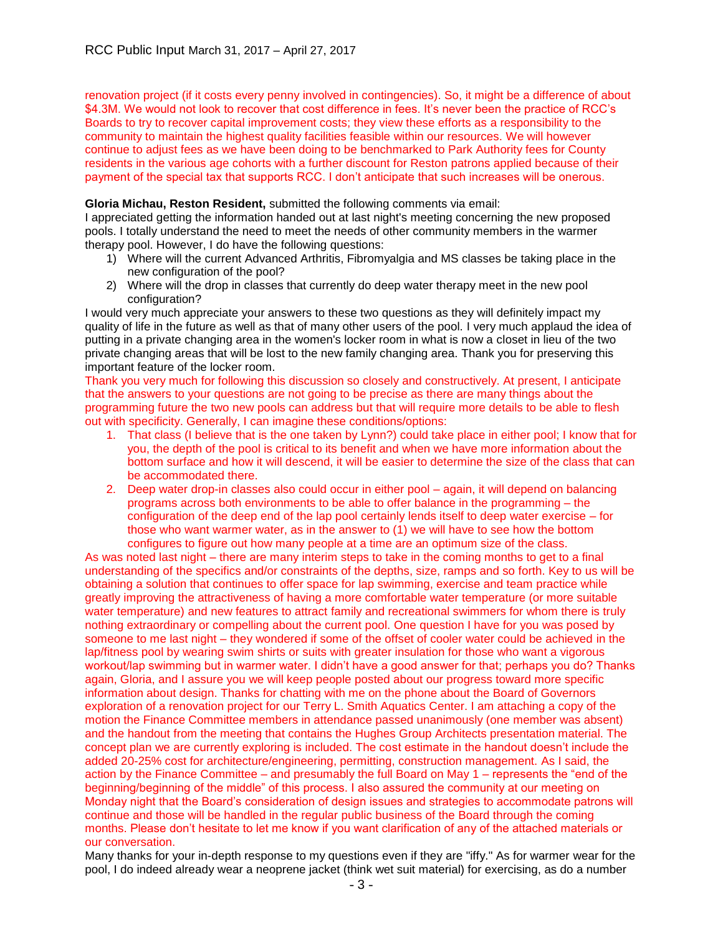renovation project (if it costs every penny involved in contingencies). So, it might be a difference of about \$4.3M. We would not look to recover that cost difference in fees. It's never been the practice of RCC's Boards to try to recover capital improvement costs; they view these efforts as a responsibility to the community to maintain the highest quality facilities feasible within our resources. We will however continue to adjust fees as we have been doing to be benchmarked to Park Authority fees for County residents in the various age cohorts with a further discount for Reston patrons applied because of their payment of the special tax that supports RCC. I don't anticipate that such increases will be onerous.

# **Gloria Michau, Reston Resident,** submitted the following comments via email:

I appreciated getting the information handed out at last night's meeting concerning the new proposed pools. I totally understand the need to meet the needs of other community members in the warmer therapy pool. However, I do have the following questions:

- 1) Where will the current Advanced Arthritis, Fibromyalgia and MS classes be taking place in the new configuration of the pool?
- 2) Where will the drop in classes that currently do deep water therapy meet in the new pool configuration?

I would very much appreciate your answers to these two questions as they will definitely impact my quality of life in the future as well as that of many other users of the pool. I very much applaud the idea of putting in a private changing area in the women's locker room in what is now a closet in lieu of the two private changing areas that will be lost to the new family changing area. Thank you for preserving this important feature of the locker room.

Thank you very much for following this discussion so closely and constructively. At present, I anticipate that the answers to your questions are not going to be precise as there are many things about the programming future the two new pools can address but that will require more details to be able to flesh out with specificity. Generally, I can imagine these conditions/options:

- 1. That class (I believe that is the one taken by Lynn?) could take place in either pool; I know that for you, the depth of the pool is critical to its benefit and when we have more information about the bottom surface and how it will descend, it will be easier to determine the size of the class that can be accommodated there.
- 2. Deep water drop-in classes also could occur in either pool again, it will depend on balancing programs across both environments to be able to offer balance in the programming – the configuration of the deep end of the lap pool certainly lends itself to deep water exercise – for those who want warmer water, as in the answer to (1) we will have to see how the bottom configures to figure out how many people at a time are an optimum size of the class.

As was noted last night – there are many interim steps to take in the coming months to get to a final understanding of the specifics and/or constraints of the depths, size, ramps and so forth. Key to us will be obtaining a solution that continues to offer space for lap swimming, exercise and team practice while greatly improving the attractiveness of having a more comfortable water temperature (or more suitable water temperature) and new features to attract family and recreational swimmers for whom there is truly nothing extraordinary or compelling about the current pool. One question I have for you was posed by someone to me last night – they wondered if some of the offset of cooler water could be achieved in the lap/fitness pool by wearing swim shirts or suits with greater insulation for those who want a vigorous workout/lap swimming but in warmer water. I didn't have a good answer for that; perhaps you do? Thanks again, Gloria, and I assure you we will keep people posted about our progress toward more specific information about design. Thanks for chatting with me on the phone about the Board of Governors exploration of a renovation project for our Terry L. Smith Aquatics Center. I am attaching a copy of the motion the Finance Committee members in attendance passed unanimously (one member was absent) and the handout from the meeting that contains the Hughes Group Architects presentation material. The concept plan we are currently exploring is included. The cost estimate in the handout doesn't include the added 20-25% cost for architecture/engineering, permitting, construction management. As I said, the action by the Finance Committee – and presumably the full Board on May 1 – represents the "end of the beginning/beginning of the middle" of this process. I also assured the community at our meeting on Monday night that the Board's consideration of design issues and strategies to accommodate patrons will continue and those will be handled in the regular public business of the Board through the coming months. Please don't hesitate to let me know if you want clarification of any of the attached materials or our conversation.

Many thanks for your in-depth response to my questions even if they are "iffy." As for warmer wear for the pool, I do indeed already wear a neoprene jacket (think wet suit material) for exercising, as do a number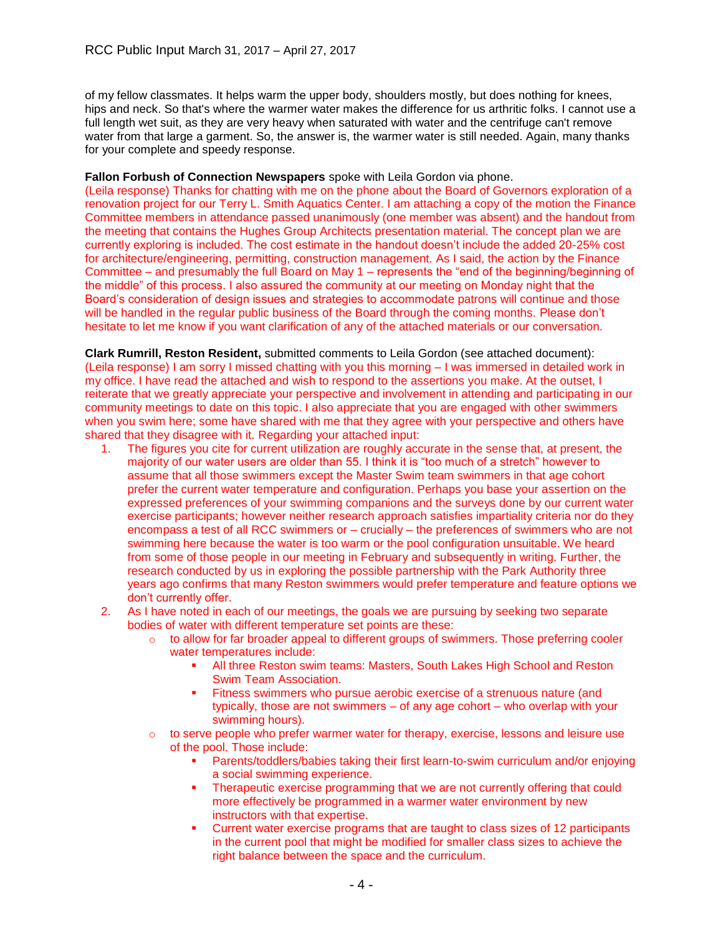of my fellow classmates. It helps warm the upper body, shoulders mostly, but does nothing for knees, hips and neck. So that's where the warmer water makes the difference for us arthritic folks. I cannot use a full length wet suit, as they are very heavy when saturated with water and the centrifuge can't remove water from that large a garment. So, the answer is, the warmer water is still needed. Again, many thanks for your complete and speedy response.

#### **Fallon Forbush of Connection Newspapers** spoke with Leila Gordon via phone.

(Leila response) Thanks for chatting with me on the phone about the Board of Governors exploration of a renovation project for our Terry L. Smith Aquatics Center. I am attaching a copy of the motion the Finance Committee members in attendance passed unanimously (one member was absent) and the handout from the meeting that contains the Hughes Group Architects presentation material. The concept plan we are currently exploring is included. The cost estimate in the handout doesn't include the added 20-25% cost for architecture/engineering, permitting, construction management. As I said, the action by the Finance Committee – and presumably the full Board on May 1 – represents the "end of the beginning/beginning of the middle" of this process. I also assured the community at our meeting on Monday night that the Board's consideration of design issues and strategies to accommodate patrons will continue and those will be handled in the regular public business of the Board through the coming months. Please don't hesitate to let me know if you want clarification of any of the attached materials or our conversation.

**Clark Rumrill, Reston Resident,** submitted comments to Leila Gordon (see attached document): (Leila response) I am sorry I missed chatting with you this morning – I was immersed in detailed work in my office. I have read the attached and wish to respond to the assertions you make. At the outset, I reiterate that we greatly appreciate your perspective and involvement in attending and participating in our community meetings to date on this topic. I also appreciate that you are engaged with other swimmers when you swim here; some have shared with me that they agree with your perspective and others have shared that they disagree with it. Regarding your attached input:

- 1. The figures you cite for current utilization are roughly accurate in the sense that, at present, the majority of our water users are older than 55. I think it is "too much of a stretch" however to assume that all those swimmers except the Master Swim team swimmers in that age cohort prefer the current water temperature and configuration. Perhaps you base your assertion on the expressed preferences of your swimming companions and the surveys done by our current water exercise participants; however neither research approach satisfies impartiality criteria nor do they encompass a test of all RCC swimmers or – crucially – the preferences of swimmers who are not swimming here because the water is too warm or the pool configuration unsuitable. We heard from some of those people in our meeting in February and subsequently in writing. Further, the research conducted by us in exploring the possible partnership with the Park Authority three years ago confirms that many Reston swimmers would prefer temperature and feature options we don't currently offer.
- 2. As I have noted in each of our meetings, the goals we are pursuing by seeking two separate bodies of water with different temperature set points are these:
	- $\circ$  to allow for far broader appeal to different groups of swimmers. Those preferring cooler water temperatures include:
		- All three Reston swim teams: Masters, South Lakes High School and Reston Swim Team Association.
		- Fitness swimmers who pursue aerobic exercise of a strenuous nature (and typically, those are not swimmers – of any age cohort – who overlap with your swimming hours).
	- o to serve people who prefer warmer water for therapy, exercise, lessons and leisure use of the pool. Those include:
		- Parents/toddlers/babies taking their first learn-to-swim curriculum and/or enjoying a social swimming experience.
		- Therapeutic exercise programming that we are not currently offering that could more effectively be programmed in a warmer water environment by new instructors with that expertise.
		- Current water exercise programs that are taught to class sizes of 12 participants in the current pool that might be modified for smaller class sizes to achieve the right balance between the space and the curriculum.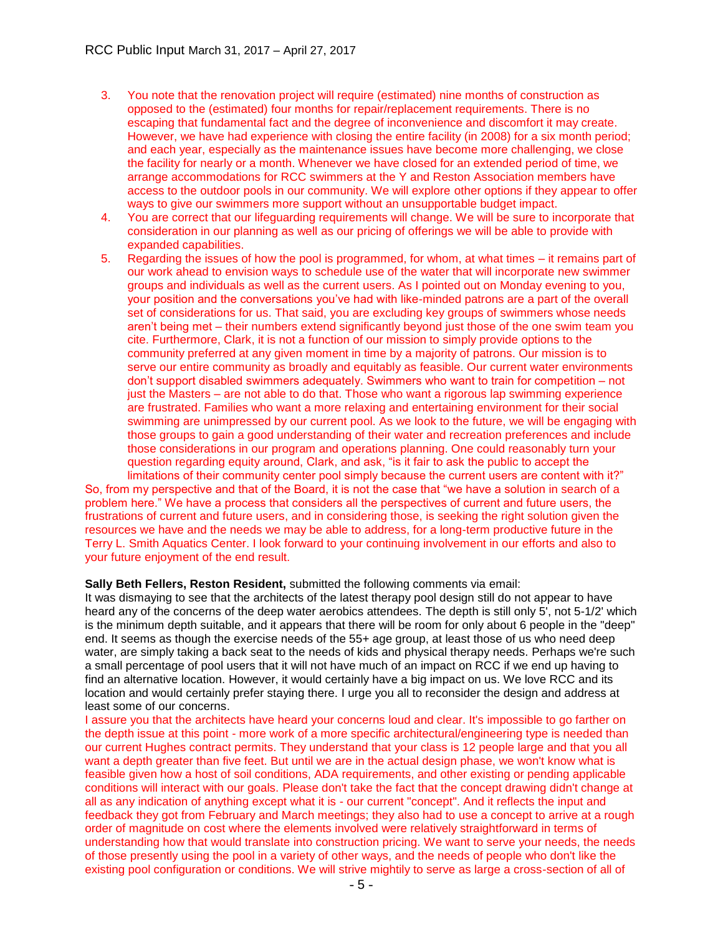- 3. You note that the renovation project will require (estimated) nine months of construction as opposed to the (estimated) four months for repair/replacement requirements. There is no escaping that fundamental fact and the degree of inconvenience and discomfort it may create. However, we have had experience with closing the entire facility (in 2008) for a six month period; and each year, especially as the maintenance issues have become more challenging, we close the facility for nearly or a month. Whenever we have closed for an extended period of time, we arrange accommodations for RCC swimmers at the Y and Reston Association members have access to the outdoor pools in our community. We will explore other options if they appear to offer ways to give our swimmers more support without an unsupportable budget impact.
- 4. You are correct that our lifeguarding requirements will change. We will be sure to incorporate that consideration in our planning as well as our pricing of offerings we will be able to provide with expanded capabilities.
- 5. Regarding the issues of how the pool is programmed, for whom, at what times it remains part of our work ahead to envision ways to schedule use of the water that will incorporate new swimmer groups and individuals as well as the current users. As I pointed out on Monday evening to you, your position and the conversations you've had with like-minded patrons are a part of the overall set of considerations for us. That said, you are excluding key groups of swimmers whose needs aren't being met – their numbers extend significantly beyond just those of the one swim team you cite. Furthermore, Clark, it is not a function of our mission to simply provide options to the community preferred at any given moment in time by a majority of patrons. Our mission is to serve our entire community as broadly and equitably as feasible. Our current water environments don't support disabled swimmers adequately. Swimmers who want to train for competition – not just the Masters – are not able to do that. Those who want a rigorous lap swimming experience are frustrated. Families who want a more relaxing and entertaining environment for their social swimming are unimpressed by our current pool. As we look to the future, we will be engaging with those groups to gain a good understanding of their water and recreation preferences and include those considerations in our program and operations planning. One could reasonably turn your question regarding equity around, Clark, and ask, "is it fair to ask the public to accept the

limitations of their community center pool simply because the current users are content with it?" So, from my perspective and that of the Board, it is not the case that "we have a solution in search of a problem here." We have a process that considers all the perspectives of current and future users, the frustrations of current and future users, and in considering those, is seeking the right solution given the resources we have and the needs we may be able to address, for a long-term productive future in the Terry L. Smith Aquatics Center. I look forward to your continuing involvement in our efforts and also to your future enjoyment of the end result.

#### **Sally Beth Fellers, Reston Resident,** submitted the following comments via email:

It was dismaying to see that the architects of the latest therapy pool design still do not appear to have heard any of the concerns of the deep water aerobics attendees. The depth is still only 5', not 5-1/2' which is the minimum depth suitable, and it appears that there will be room for only about 6 people in the "deep" end. It seems as though the exercise needs of the 55+ age group, at least those of us who need deep water, are simply taking a back seat to the needs of kids and physical therapy needs. Perhaps we're such a small percentage of pool users that it will not have much of an impact on RCC if we end up having to find an alternative location. However, it would certainly have a big impact on us. We love RCC and its location and would certainly prefer staying there. I urge you all to reconsider the design and address at least some of our concerns.

I assure you that the architects have heard your concerns loud and clear. It's impossible to go farther on the depth issue at this point - more work of a more specific architectural/engineering type is needed than our current Hughes contract permits. They understand that your class is 12 people large and that you all want a depth greater than five feet. But until we are in the actual design phase, we won't know what is feasible given how a host of soil conditions, ADA requirements, and other existing or pending applicable conditions will interact with our goals. Please don't take the fact that the concept drawing didn't change at all as any indication of anything except what it is - our current "concept". And it reflects the input and feedback they got from February and March meetings; they also had to use a concept to arrive at a rough order of magnitude on cost where the elements involved were relatively straightforward in terms of understanding how that would translate into construction pricing. We want to serve your needs, the needs of those presently using the pool in a variety of other ways, and the needs of people who don't like the existing pool configuration or conditions. We will strive mightily to serve as large a cross-section of all of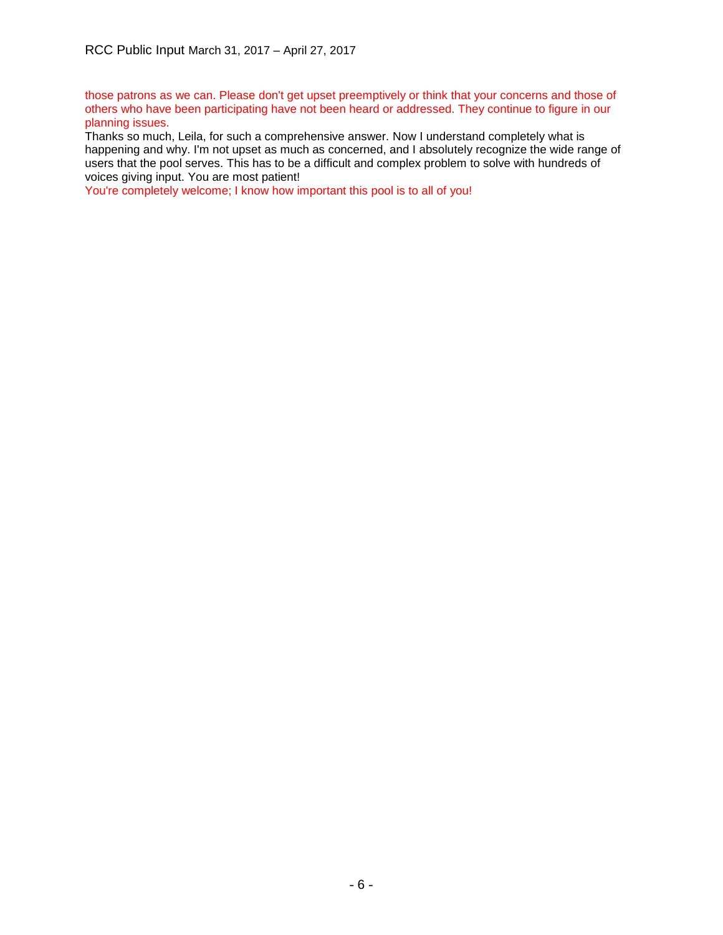those patrons as we can. Please don't get upset preemptively or think that your concerns and those of others who have been participating have not been heard or addressed. They continue to figure in our planning issues.

Thanks so much, Leila, for such a comprehensive answer. Now I understand completely what is happening and why. I'm not upset as much as concerned, and I absolutely recognize the wide range of users that the pool serves. This has to be a difficult and complex problem to solve with hundreds of voices giving input. You are most patient!

You're completely welcome; I know how important this pool is to all of you!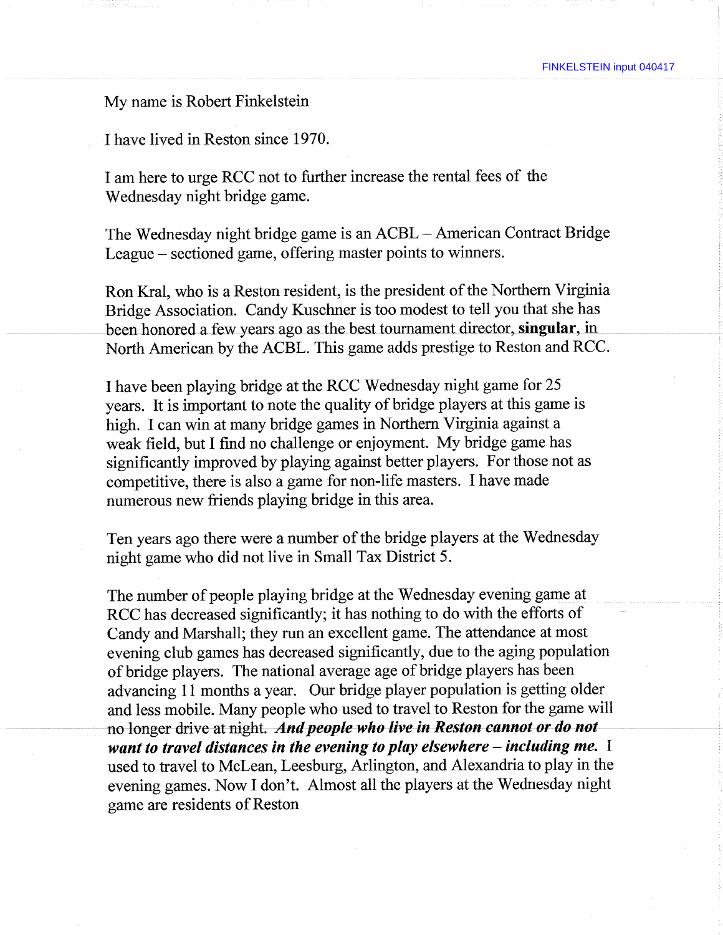My name is Robert Finkelstein

I have lived in Reston since 1970.

I am here to urge RCC not to further increase the rental fees of the Wednesday night bridge game.

The Wednesday night bridge game is an ACBL - American Contract Bridge League - sectioned game, offering master points to winners.

Ron Krai, who is a Reston resident, is the president of the Northern Virginia Bridge Association. Candy Kuschner is too modest to tell you that she has been honored a few years ago as the best tournament director, **singular,** in North American by the ACBL. This game adds prestige to Reston and RCC.

I have been playing bridge at the RCC Wednesday night game for 25 years. It is important to note the quality of bridge players at this game is high. I can win at many bridge games in Northern Virginia against a weak field, but I find no challenge or enjoyment. My bridge game has significantly improved by playing against better players. For those not as competitive, there is also a game for non-life masters. I have made numerous new friends playing bridge in this area.

Ten years ago there were a number of the bridge players at the Wednesday night game who did not live in Small Tax District 5.

The number of people playing bridge at the Wednesday evening game at RCC has decreased significantly; it has nothing to do with the efforts of Candy and Marshall; they run an excellent game. The attendance at most evening club games has decreased significantly, due to the aging population of bridge players. The national average age of bridge players has been advancing 11 months a year. Our bridge player population is getting older and less mobile. Many people who used to travel to Reston for the game will no longer drive at night. *And people who live in Reston cannot or do not want to travel distances in the evening to play elsewhere - including me.* <sup>I</sup> used to travel to McLean, Leesburg, Arlington, and Alexandria to play in the evening games. Now I don't. Almost all the players at the Wednesday night game are residents of Reston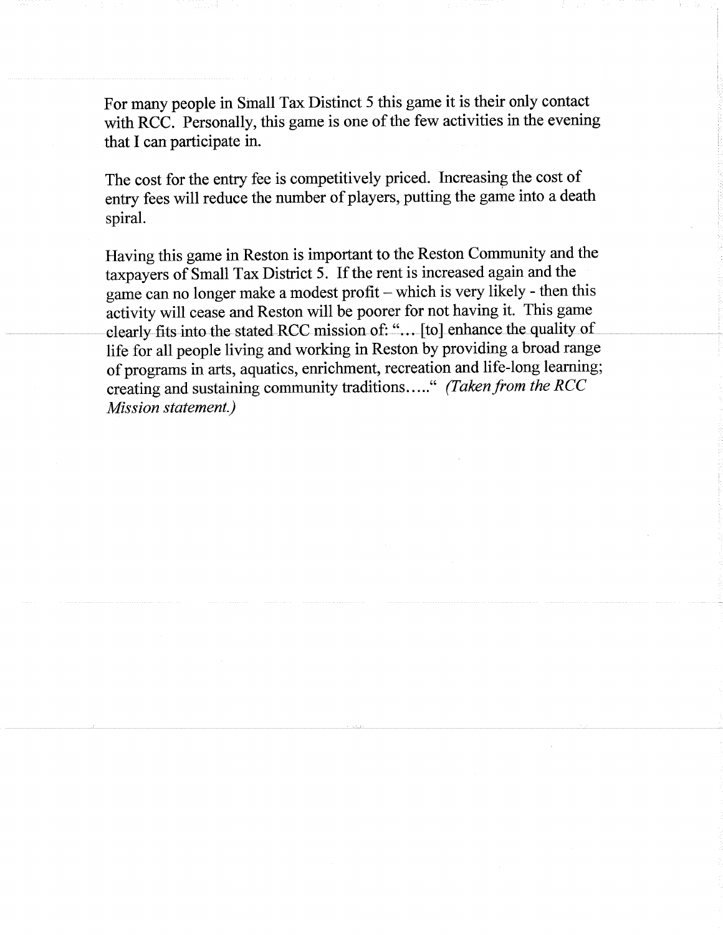For many people in Small Tax Distinct 5 this game it is their only contact with RCC. Personally, this game is one of the few activities in the evening that I can participate in.

The cost for the entry fee is competitively priced. Increasing the cost of entry fees will reduce the number of players, putting the game into a death spiral.

Having this game in Reston is important to the Reston Community and the taxpayers of Small Tax District 5. If the rent is increased again and the game can no longer make a modest profit - which is very likely - then this activity will cease and Reston will be poorer for not having it. This game clearly fits into the stated RCC mission of: "... [to] enhance the quality of life for all people living and working in Reston by providing a broad range of programs in arts, aquatics, enrichment, recreation and life-long learning; creating and sustaining community traditions ....." (Taken from the RCC *Mission statement.)*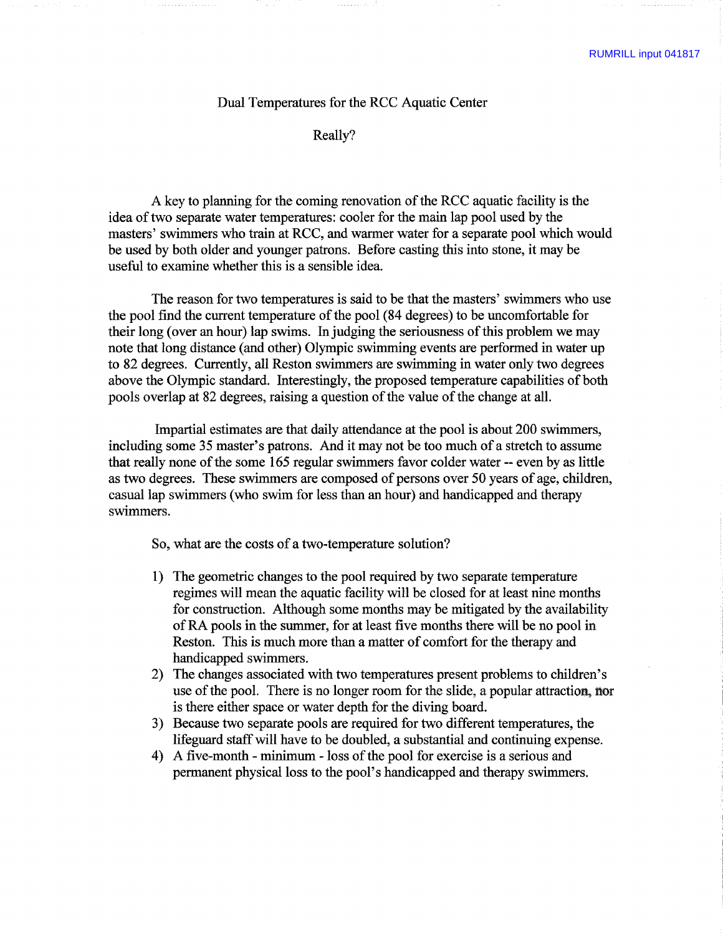## Dual Temperatures for the RCC Aquatic Center

Really?

A key to planning for the coming renovation of the RCC aquatic facility is the idea of two separate water temperatures: cooler for the main lap pool used by the masters' swimmers who train at RCC, and warmer water for a separate pool which would be used by both older and younger patrons. Before casting this into stone, it may be useful to examine whether this is a sensible idea.

The reason for two temperatures is said to be that the masters' swimmers who use the pool find the current temperature of the pool (84 degrees) to be uncomfortable for their long (over an hour) lap swims. In judging the seriousness of this problem we may note that long distance (and other) Olympic swimming events are performed in water up to 82 degrees. Currently, all Reston swimmers are swimming in water only two degrees above the Olympic standard. Interestingly, the proposed temperature capabilities of both pools overlap at 82 degrees, raising a question of the value of the change at all.

Impartial estimates are that daily attendance at the pool is about 200 swimmers, including some 35 master's patrons. And it may not be too much of a stretch to assume that really none of the some 165 regular swimmers favor colder water — even by as little as two degrees. These swimmers are composed of persons over 50 years of age, children, casual lap swimmers (who swim for less than an hour) and handicapped and therapy swimmers.

So, what are the costs of a two-temperature solution?

- 1) The geometric changes to the pool required by two separate temperature regimes will mean the aquatic facility will be closed for at least nine months for construction. Although some months may be mitigated by the availability of RA pools in the summer, for at least five months there will be no pool in Reston. This is much more than a matter of comfort for the therapy and handicapped swimmers.
- 2) The changes associated with two temperatures present problems to children's use of the pool. There is no longer room for the slide, a popular attraction, nor is there either space or water depth for the diving board.
- 3) Because two separate pools are required for two different temperatures, the lifeguard staff will have to be doubled, a substantial and continuing expense.
- 4) A five-month minimum loss of the pool for exercise is a serious and permanent physical loss to the pool's handicapped and therapy swimmers.